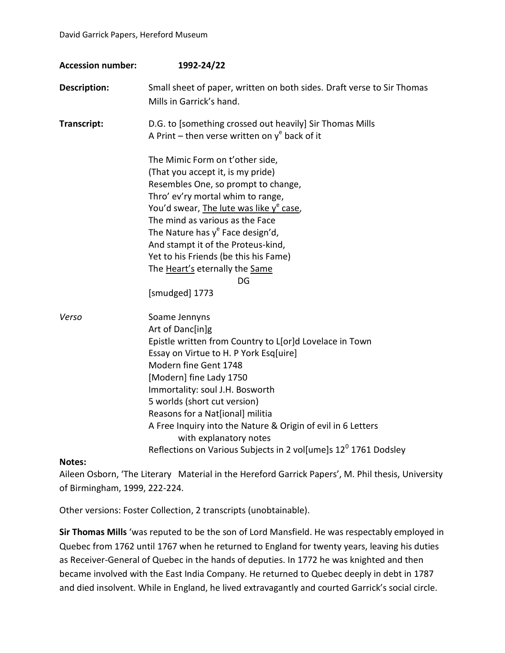| <b>Accession number:</b> | 1992-24/22                                                                                                                                                                                                                                                                                                                                                                                                                                                                 |
|--------------------------|----------------------------------------------------------------------------------------------------------------------------------------------------------------------------------------------------------------------------------------------------------------------------------------------------------------------------------------------------------------------------------------------------------------------------------------------------------------------------|
| Description:             | Small sheet of paper, written on both sides. Draft verse to Sir Thomas<br>Mills in Garrick's hand.                                                                                                                                                                                                                                                                                                                                                                         |
| Transcript:              | D.G. to [something crossed out heavily] Sir Thomas Mills<br>A Print – then verse written on $y^e$ back of it                                                                                                                                                                                                                                                                                                                                                               |
|                          | The Mimic Form on t'other side,<br>(That you accept it, is my pride)<br>Resembles One, so prompt to change,<br>Thro' ev'ry mortal whim to range,<br>You'd swear, The lute was like y <sup>e</sup> case,<br>The mind as various as the Face<br>The Nature has $y^e$ Face design'd,<br>And stampt it of the Proteus-kind,<br>Yet to his Friends (be this his Fame)<br>The Heart's eternally the Same<br>DG<br>[smudged] 1773                                                 |
| Verso                    | Soame Jennyns<br>Art of Danc[in]g<br>Epistle written from Country to L[or]d Lovelace in Town<br>Essay on Virtue to H. P York Esq[uire]<br>Modern fine Gent 1748<br>[Modern] fine Lady 1750<br>Immortality: soul J.H. Bosworth<br>5 worlds (short cut version)<br>Reasons for a Nat[ional] militia<br>A Free Inquiry into the Nature & Origin of evil in 6 Letters<br>with explanatory notes<br>Reflections on Various Subjects in 2 vol[ume]s 12 <sup>0</sup> 1761 Dodsley |
| Notes:                   |                                                                                                                                                                                                                                                                                                                                                                                                                                                                            |

Aileen Osborn, 'The Literary Material in the Hereford Garrick Papers', M. Phil thesis, University of Birmingham, 1999, 222-224.

Other versions: Foster Collection, 2 transcripts (unobtainable).

**Sir Thomas Mills** 'was reputed to be the son of Lord Mansfield. He was respectably employed in Quebec from 1762 until 1767 when he returned to England for twenty years, leaving his duties as Receiver-General of Quebec in the hands of deputies. In 1772 he was knighted and then became involved with the East India Company. He returned to Quebec deeply in debt in 1787 and died insolvent. While in England, he lived extravagantly and courted Garrick's social circle.